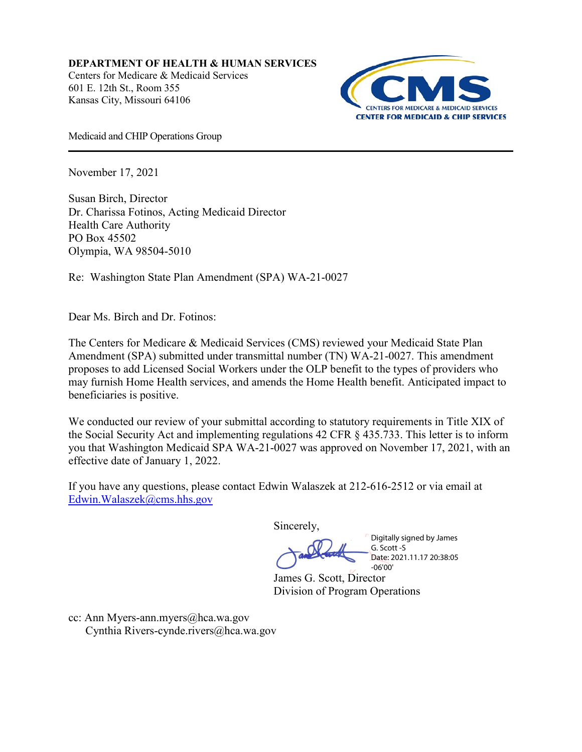**DEPARTMENT OF HEALTH & HUMAN SERVICES** Centers for Medicare & Medicaid Services [601 E. 12th St., Room 355](x-apple-data-detectors://2/0) [Kansas City, Missouri 64106](x-apple-data-detectors://2/0)



Medicaid and CHIP Operations Group

November 17, 2021

Susan Birch, Director Dr. Charissa Fotinos, Acting Medicaid Director Health Care Authority PO Box 45502 Olympia, WA 98504-5010

Re: Washington State Plan Amendment (SPA) WA-21-0027

Dear Ms. Birch and Dr. Fotinos:

The Centers for Medicare & Medicaid Services (CMS) reviewed your Medicaid State Plan Amendment (SPA) submitted under transmittal number (TN) WA-21-0027. This amendment proposes to add Licensed Social Workers under the OLP benefit to the types of providers who may furnish Home Health services, and amends the Home Health benefit. Anticipated impact to beneficiaries is positive.

We conducted our review of your submittal according to statutory requirements in Title XIX of the Social Security Act and implementing regulations 42 CFR § 435.733. This letter is to inform you that Washington Medicaid SPA WA-21-0027 was approved on November 17, 2021, with an effective date of January 1, 2022.

If you have any questions, please contact Edwin Walaszek at 212-616-2512 or via email at [Edwin.Walaszek@cms.hhs.gov](mailto:Edwin.Walaszek@cms.hhs.gov)

Sincerely,

Digitally signed by James G. Scott -S Date: 2021.11.17 20:38:05 -06'00'

James G. Scott, Director Division of Program Operations

cc: Ann Myers-ann.myers@hca.wa.gov Cynthia Rivers-cynde.rivers@hca.wa.gov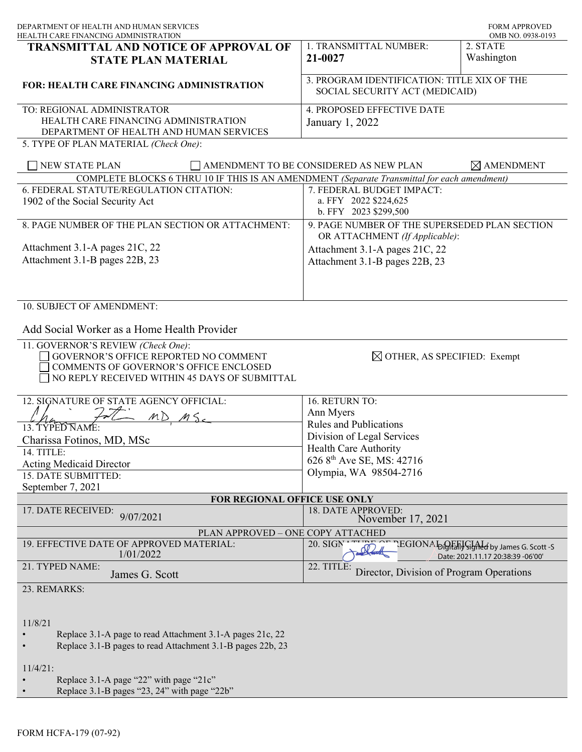| DEPARTMENT OF HEALTH AND HUMAN SERVICES<br>HEALTH CARE FINANCING ADMINISTRATION                                                  |                                                                               | <b>FORM APPROVED</b><br>OMB NO. 0938-0193                                             |
|----------------------------------------------------------------------------------------------------------------------------------|-------------------------------------------------------------------------------|---------------------------------------------------------------------------------------|
| <b>TRANSMITTAL AND NOTICE OF APPROVAL OF</b>                                                                                     | 1. TRANSMITTAL NUMBER:                                                        | 2. STATE                                                                              |
| <b>STATE PLAN MATERIAL</b>                                                                                                       | 21-0027                                                                       | Washington                                                                            |
| <b>FOR: HEALTH CARE FINANCING ADMINISTRATION</b>                                                                                 | 3. PROGRAM IDENTIFICATION: TITLE XIX OF THE<br>SOCIAL SECURITY ACT (MEDICAID) |                                                                                       |
| TO: REGIONAL ADMINISTRATOR                                                                                                       | 4. PROPOSED EFFECTIVE DATE                                                    |                                                                                       |
| HEALTH CARE FINANCING ADMINISTRATION                                                                                             | January 1, 2022                                                               |                                                                                       |
| DEPARTMENT OF HEALTH AND HUMAN SERVICES<br>5. TYPE OF PLAN MATERIAL (Check One):                                                 |                                                                               |                                                                                       |
|                                                                                                                                  |                                                                               |                                                                                       |
| <b>NEW STATE PLAN</b><br>AMENDMENT TO BE CONSIDERED AS NEW PLAN<br>$\boxtimes$ AMENDMENT                                         |                                                                               |                                                                                       |
| COMPLETE BLOCKS 6 THRU 10 IF THIS IS AN AMENDMENT (Separate Transmittal for each amendment)                                      |                                                                               |                                                                                       |
| 6. FEDERAL STATUTE/REGULATION CITATION:                                                                                          | 7. FEDERAL BUDGET IMPACT:                                                     |                                                                                       |
| 1902 of the Social Security Act                                                                                                  | a. FFY 2022 \$224,625<br>b. FFY 2023 \$299,500                                |                                                                                       |
| 8. PAGE NUMBER OF THE PLAN SECTION OR ATTACHMENT:                                                                                | 9. PAGE NUMBER OF THE SUPERSEDED PLAN SECTION                                 |                                                                                       |
| Attachment 3.1-A pages 21C, 22                                                                                                   | OR ATTACHMENT (If Applicable):                                                |                                                                                       |
| Attachment 3.1-B pages 22B, 23                                                                                                   | Attachment 3.1-A pages 21C, 22<br>Attachment 3.1-B pages 22B, 23              |                                                                                       |
|                                                                                                                                  |                                                                               |                                                                                       |
|                                                                                                                                  |                                                                               |                                                                                       |
|                                                                                                                                  |                                                                               |                                                                                       |
| 10. SUBJECT OF AMENDMENT:                                                                                                        |                                                                               |                                                                                       |
| Add Social Worker as a Home Health Provider                                                                                      |                                                                               |                                                                                       |
| 11. GOVERNOR'S REVIEW (Check One):                                                                                               |                                                                               |                                                                                       |
| GOVERNOR'S OFFICE REPORTED NO COMMENT<br>COMMENTS OF GOVERNOR'S OFFICE ENCLOSED<br>NO REPLY RECEIVED WITHIN 45 DAYS OF SUBMITTAL | $\boxtimes$ OTHER, AS SPECIFIED: Exempt                                       |                                                                                       |
|                                                                                                                                  |                                                                               |                                                                                       |
| 12. SIGNATURE OF STATE AGENCY OFFICIAL:                                                                                          | 16. RETURN TO:                                                                |                                                                                       |
| $\mathscr{H}$                                                                                                                    | Ann Myers                                                                     |                                                                                       |
| 13. TÝPEĎ NAME:                                                                                                                  | <b>Rules and Publications</b>                                                 |                                                                                       |
| Charissa Fotinos, MD, MSc                                                                                                        | Division of Legal Services                                                    |                                                                                       |
| 14. TITLE:                                                                                                                       | Health Care Authority<br>626 8 <sup>th</sup> Ave SE, MS: 42716                |                                                                                       |
| <b>Acting Medicaid Director</b>                                                                                                  | Olympia, WA 98504-2716                                                        |                                                                                       |
| 15. DATE SUBMITTED:                                                                                                              |                                                                               |                                                                                       |
| September 7, 2021<br>FOR REGIONAL OFFICE USE ONLY                                                                                |                                                                               |                                                                                       |
| 17. DATE RECEIVED:                                                                                                               | 18. DATE APPROVED:                                                            |                                                                                       |
| 9/07/2021                                                                                                                        | November 17, 2021                                                             |                                                                                       |
| PLAN APPROVED - ONE COPY ATTACHED                                                                                                |                                                                               |                                                                                       |
| 19. EFFECTIVE DATE OF APPROVED MATERIAL:<br>1/01/2022                                                                            | $20.$ SIGN $^{\star}$ $^{\star}$                                              | The CHONA Loightally Signed by James G. Scott -S<br>Date: 2021.11.17 20:38:39 -06'00' |
| 21. TYPED NAME:<br>James G. Scott                                                                                                | 22. TITLE:<br>Director, Division of Program Operations                        |                                                                                       |
| 23. REMARKS:                                                                                                                     |                                                                               |                                                                                       |
|                                                                                                                                  |                                                                               |                                                                                       |
| 11/8/21                                                                                                                          |                                                                               |                                                                                       |
| Replace 3.1-A page to read Attachment 3.1-A pages 21c, 22                                                                        |                                                                               |                                                                                       |
| Replace 3.1-B pages to read Attachment 3.1-B pages 22b, 23                                                                       |                                                                               |                                                                                       |
|                                                                                                                                  |                                                                               |                                                                                       |
| $11/4/21$ :                                                                                                                      |                                                                               |                                                                                       |
| Replace 3.1-A page "22" with page "21c"                                                                                          |                                                                               |                                                                                       |

• Replace 3.1-B pages "23, 24" with page "22b"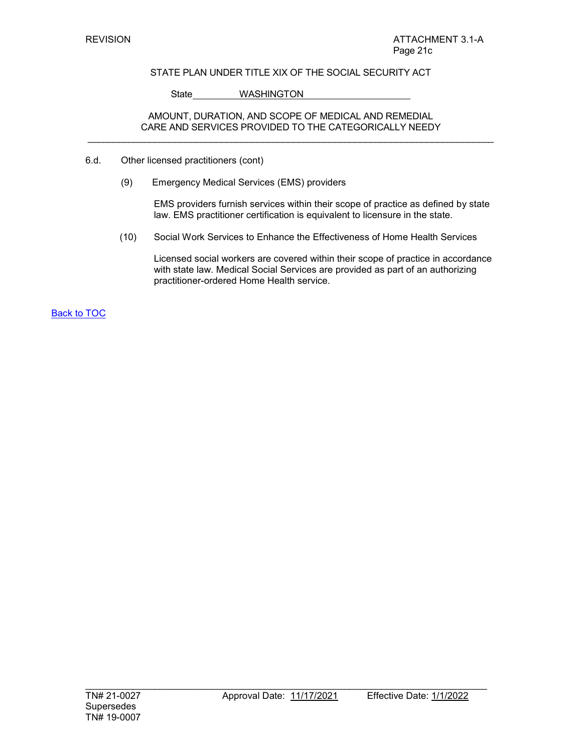State WASHINGTON

## AMOUNT, DURATION, AND SCOPE OF MEDICAL AND REMEDIAL CARE AND SERVICES PROVIDED TO THE CATEGORICALLY NEEDY \_\_\_\_\_\_\_\_\_\_\_\_\_\_\_\_\_\_\_\_\_\_\_\_\_\_\_\_\_\_\_\_\_\_\_\_\_\_\_\_\_\_\_\_\_\_\_\_\_\_\_\_\_\_\_\_\_\_\_\_\_\_\_\_\_\_\_\_\_\_\_\_\_\_\_\_\_\_\_

- 6.d. Other licensed practitioners (cont)
	- (9) Emergency Medical Services (EMS) providers

EMS providers furnish services within their scope of practice as defined by state law. EMS practitioner certification is equivalent to licensure in the state.

(10) Social Work Services to Enhance the Effectiveness of Home Health Services

Licensed social workers are covered within their scope of practice in accordance with state law. Medical Social Services are provided as part of an authorizing practitioner-ordered Home Health service.

**Back to TOC**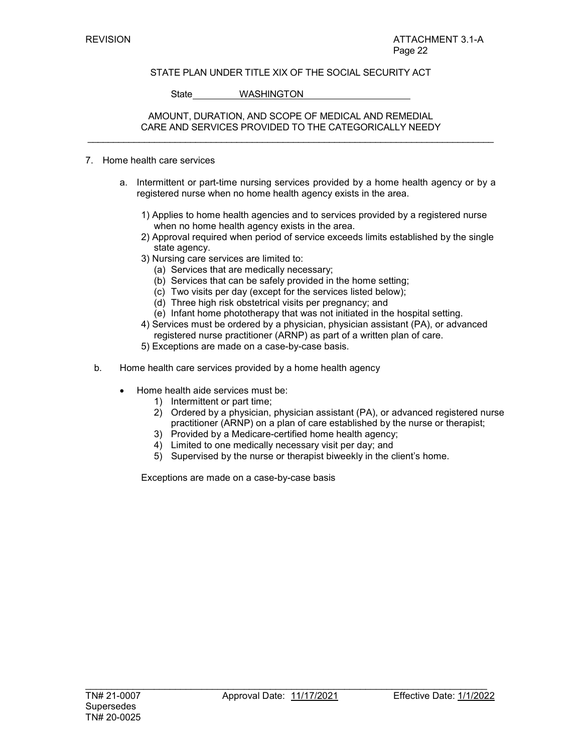State WASHINGTON

## AMOUNT, DURATION, AND SCOPE OF MEDICAL AND REMEDIAL CARE AND SERVICES PROVIDED TO THE CATEGORICALLY NEEDY \_\_\_\_\_\_\_\_\_\_\_\_\_\_\_\_\_\_\_\_\_\_\_\_\_\_\_\_\_\_\_\_\_\_\_\_\_\_\_\_\_\_\_\_\_\_\_\_\_\_\_\_\_\_\_\_\_\_\_\_\_\_\_\_\_\_\_\_\_\_\_\_\_\_\_\_\_\_\_

### 7. Home health care services

- a. Intermittent or part-time nursing services provided by a home health agency or by a registered nurse when no home health agency exists in the area.
	- 1) Applies to home health agencies and to services provided by a registered nurse when no home health agency exists in the area.
	- 2) Approval required when period of service exceeds limits established by the single state agency.
	- 3) Nursing care services are limited to:
		- (a) Services that are medically necessary;
		- (b) Services that can be safely provided in the home setting;
		- (c) Two visits per day (except for the services listed below);
		- (d) Three high risk obstetrical visits per pregnancy; and
		- (e) Infant home phototherapy that was not initiated in the hospital setting.
	- 4) Services must be ordered by a physician, physician assistant (PA), or advanced registered nurse practitioner (ARNP) as part of a written plan of care.
	- 5) Exceptions are made on a case-by-case basis.
- b. Home health care services provided by a home health agency
	- Home health aide services must be:
		- 1) Intermittent or part time;
		- 2) Ordered by a physician, physician assistant (PA), or advanced registered nurse practitioner (ARNP) on a plan of care established by the nurse or therapist;
		- 3) Provided by a Medicare-certified home health agency;
		- 4) Limited to one medically necessary visit per day; and
		- 5) Supervised by the nurse or therapist biweekly in the client's home.

Exceptions are made on a case-by-case basis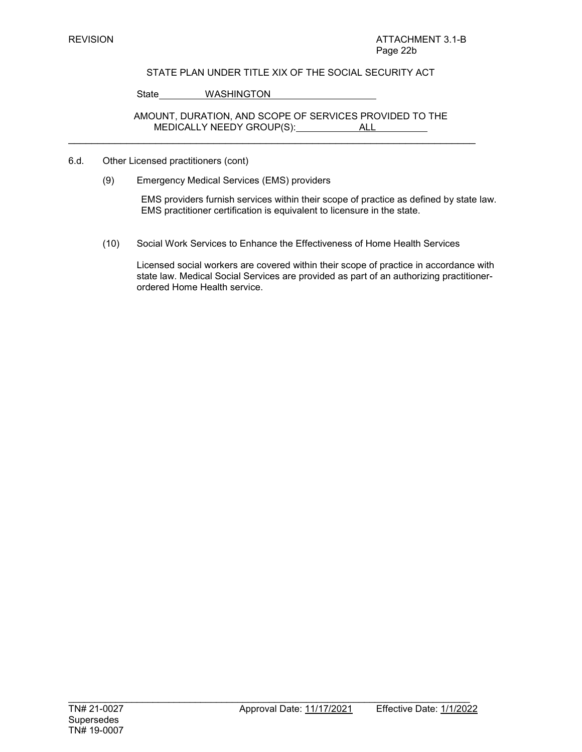State WASHINGTON

AMOUNT, DURATION, AND SCOPE OF SERVICES PROVIDED TO THE MEDICALLY NEEDY GROUP(S): ALL

 $\mathcal{L}_\text{max}$  , and the contract of the contract of the contract of the contract of the contract of the contract of

- 6.d. Other Licensed practitioners (cont)
	- (9) Emergency Medical Services (EMS) providers

EMS providers furnish services within their scope of practice as defined by state law. EMS practitioner certification is equivalent to licensure in the state.

(10) Social Work Services to Enhance the Effectiveness of Home Health Services

Licensed social workers are covered within their scope of practice in accordance with state law. Medical Social Services are provided as part of an authorizing practitionerordered Home Health service.